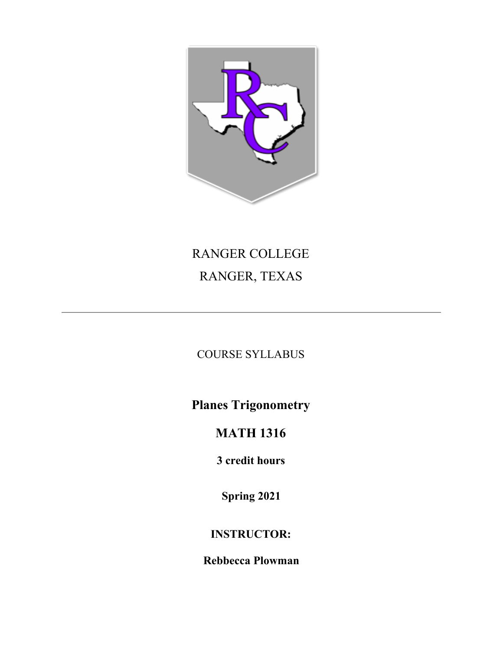

# RANGER COLLEGE RANGER, TEXAS

COURSE SYLLABUS

**Planes Trigonometry**

## **MATH 1316**

**3 credit hours**

**Spring 2021**

### **INSTRUCTOR:**

**Rebbecca Plowman**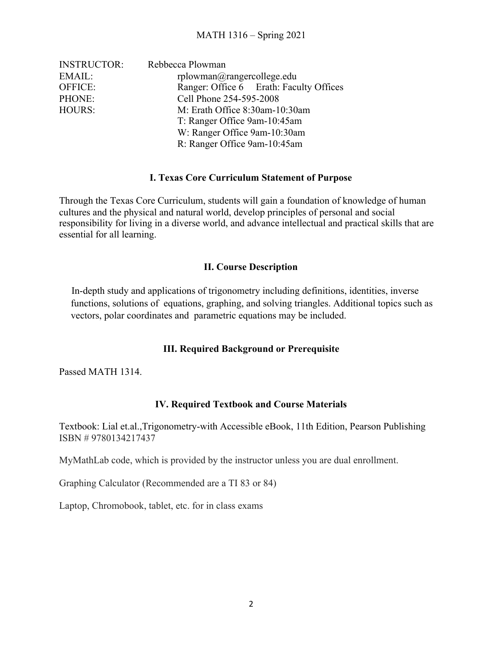| <b>INSTRUCTOR:</b> | Rebbecca Plowman                        |  |
|--------------------|-----------------------------------------|--|
| EMAIL:             | $r$ plowman $@r$ angercollege.edu       |  |
| <b>OFFICE:</b>     | Ranger: Office 6 Erath: Faculty Offices |  |
| PHONE:             | Cell Phone 254-595-2008                 |  |
| HOURS:             | M: Erath Office 8:30am-10:30am          |  |
|                    | T: Ranger Office 9am-10:45am            |  |
|                    | W: Ranger Office 9am-10:30am            |  |
|                    | R: Ranger Office 9am-10:45am            |  |

#### **I. Texas Core Curriculum Statement of Purpose**

Through the Texas Core Curriculum, students will gain a foundation of knowledge of human cultures and the physical and natural world, develop principles of personal and social responsibility for living in a diverse world, and advance intellectual and practical skills that are essential for all learning.

#### **II. Course Description**

In-depth study and applications of trigonometry including definitions, identities, inverse functions, solutions of equations, graphing, and solving triangles. Additional topics such as vectors, polar coordinates and parametric equations may be included.

#### **III. Required Background or Prerequisite**

Passed MATH 1314.

#### **IV. Required Textbook and Course Materials**

Textbook: Lial et.al.,Trigonometry-with Accessible eBook, 11th Edition, Pearson Publishing ISBN # 9780134217437

MyMathLab code, which is provided by the instructor unless you are dual enrollment.

Graphing Calculator (Recommended are a TI 83 or 84)

Laptop, Chromobook, tablet, etc. for in class exams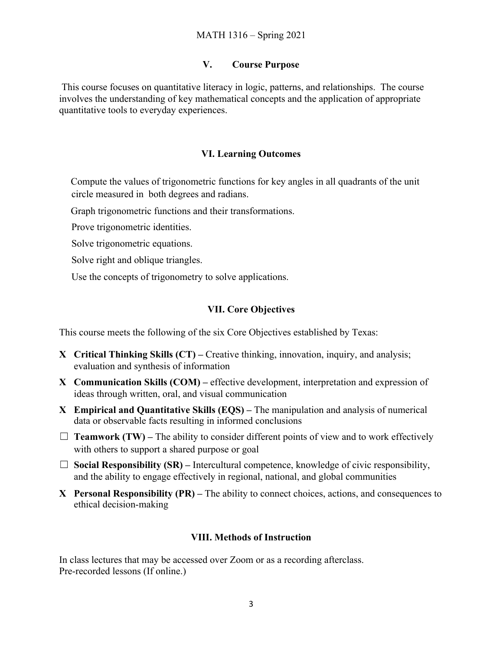#### **V. Course Purpose**

This course focuses on quantitative literacy in logic, patterns, and relationships. The course involves the understanding of key mathematical concepts and the application of appropriate quantitative tools to everyday experiences.

#### **VI. Learning Outcomes**

Compute the values of trigonometric functions for key angles in all quadrants of the unit circle measured in both degrees and radians.

Graph trigonometric functions and their transformations.

Prove trigonometric identities.

Solve trigonometric equations.

Solve right and oblique triangles.

Use the concepts of trigonometry to solve applications.

#### **VII. Core Objectives**

This course meets the following of the six Core Objectives established by Texas:

- **X Critical Thinking Skills (CT)** Creative thinking, innovation, inquiry, and analysis; evaluation and synthesis of information
- **X Communication Skills (COM)** effective development, interpretation and expression of ideas through written, oral, and visual communication
- **X Empirical and Quantitative Skills (EQS)** The manipulation and analysis of numerical data or observable facts resulting in informed conclusions
- $\Box$  **Teamwork (TW)** The ability to consider different points of view and to work effectively with others to support a shared purpose or goal
- $\Box$  **Social Responsibility (SR)** Intercultural competence, knowledge of civic responsibility, and the ability to engage effectively in regional, national, and global communities
- **X Personal Responsibility (PR)** The ability to connect choices, actions, and consequences to ethical decision-making

#### **VIII. Methods of Instruction**

In class lectures that may be accessed over Zoom or as a recording afterclass. Pre-recorded lessons (If online.)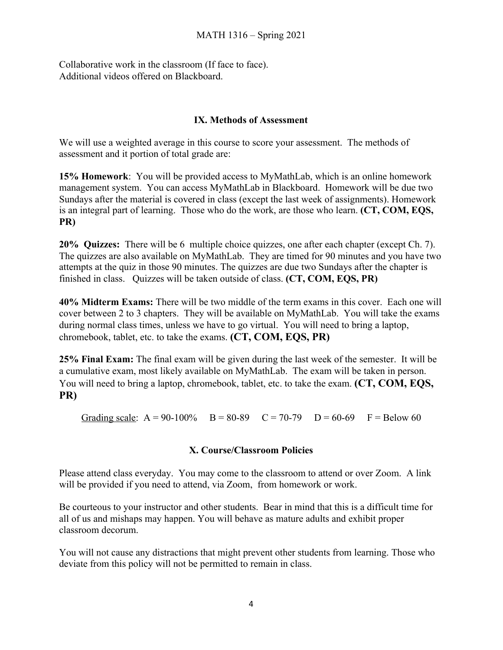Collaborative work in the classroom (If face to face). Additional videos offered on Blackboard.

#### **IX. Methods of Assessment**

We will use a weighted average in this course to score your assessment. The methods of assessment and it portion of total grade are:

**15% Homework**: You will be provided access to MyMathLab, which is an online homework management system. You can access MyMathLab in Blackboard. Homework will be due two Sundays after the material is covered in class (except the last week of assignments). Homework is an integral part of learning. Those who do the work, are those who learn. **(CT, COM, EQS, PR)**

**20% Quizzes:** There will be 6 multiple choice quizzes, one after each chapter (except Ch. 7). The quizzes are also available on MyMathLab. They are timed for 90 minutes and you have two attempts at the quiz in those 90 minutes. The quizzes are due two Sundays after the chapter is finished in class. Quizzes will be taken outside of class. **(CT, COM, EQS, PR)**

**40% Midterm Exams:** There will be two middle of the term exams in this cover. Each one will cover between 2 to 3 chapters. They will be available on MyMathLab. You will take the exams during normal class times, unless we have to go virtual. You will need to bring a laptop, chromebook, tablet, etc. to take the exams. **(CT, COM, EQS, PR)**

**25% Final Exam:** The final exam will be given during the last week of the semester. It will be a cumulative exam, most likely available on MyMathLab. The exam will be taken in person. You will need to bring a laptop, chromebook, tablet, etc. to take the exam. **(CT, COM, EQS, PR)**

Grading scale:  $A = 90-100\%$  B = 80-89 C = 70-79 D = 60-69 F = Below 60

#### **X. Course/Classroom Policies**

Please attend class everyday. You may come to the classroom to attend or over Zoom. A link will be provided if you need to attend, via Zoom, from homework or work.

Be courteous to your instructor and other students. Bear in mind that this is a difficult time for all of us and mishaps may happen. You will behave as mature adults and exhibit proper classroom decorum.

You will not cause any distractions that might prevent other students from learning. Those who deviate from this policy will not be permitted to remain in class.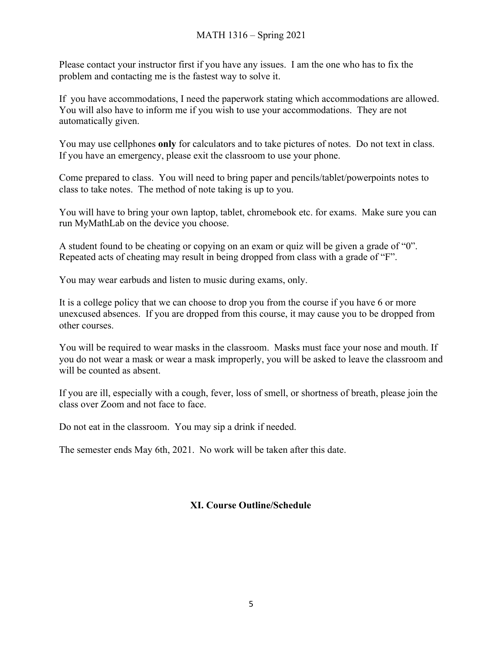Please contact your instructor first if you have any issues. I am the one who has to fix the problem and contacting me is the fastest way to solve it.

If you have accommodations, I need the paperwork stating which accommodations are allowed. You will also have to inform me if you wish to use your accommodations. They are not automatically given.

You may use cellphones **only** for calculators and to take pictures of notes. Do not text in class. If you have an emergency, please exit the classroom to use your phone.

Come prepared to class. You will need to bring paper and pencils/tablet/powerpoints notes to class to take notes. The method of note taking is up to you.

You will have to bring your own laptop, tablet, chromebook etc. for exams. Make sure you can run MyMathLab on the device you choose.

A student found to be cheating or copying on an exam or quiz will be given a grade of "0". Repeated acts of cheating may result in being dropped from class with a grade of "F".

You may wear earbuds and listen to music during exams, only.

It is a college policy that we can choose to drop you from the course if you have 6 or more unexcused absences. If you are dropped from this course, it may cause you to be dropped from other courses.

You will be required to wear masks in the classroom. Masks must face your nose and mouth. If you do not wear a mask or wear a mask improperly, you will be asked to leave the classroom and will be counted as absent.

If you are ill, especially with a cough, fever, loss of smell, or shortness of breath, please join the class over Zoom and not face to face.

Do not eat in the classroom. You may sip a drink if needed.

The semester ends May 6th, 2021. No work will be taken after this date.

#### **XI. Course Outline/Schedule**